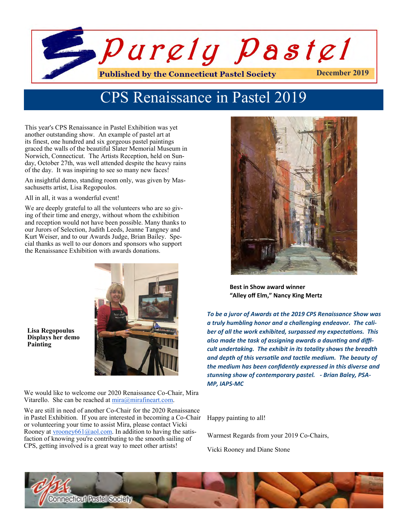

# CPS Renaissance in Pastel 2019

This year's CPS Renaissance in Pastel Exhibition was yet another outstanding show. An example of pastel art at its finest, one hundred and six gorgeous pastel paintings graced the walls of the beautiful Slater Memorial Museum in Norwich, Connecticut. The Artists Reception, held on Sunday, October 27th, was well attended despite the heavy rains of the day. It was inspiring to see so many new faces!

An insightful demo, standing room only, was given by Massachusetts artist, Lisa Regopoulos.

All in all, it was a wonderful event!

We are deeply grateful to all the volunteers who are so giving of their time and energy, without whom the exhibition and reception would not have been possible. Many thanks to our Jurors of Selection, Judith Leeds, Jeanne Tangney and Kurt Weiser, and to our Awards Judge, Brian Bailey. Special thanks as well to our donors and sponsors who support the Renaissance Exhibition with awards donations.



 **Lisa Regopoulus Displays her demo Painting** 

We would like to welcome our 2020 Renaissance Co-Chair, Mira Vitarello. She can be reached at  $\frac{\text{mira}(a)}{\text{mira}(a)}$  mirafineart.com.

We are still in need of another Co-Chair for the 2020 Renaissance in Pastel Exhibition. If you are interested in becoming a Co-Chair or volunteering your time to assist Mira, please contact Vicki Rooney at  $\underline{vroomey661}$  (@aol.com. In addition to having the satisfaction of knowing you're contributing to the smooth sailing of CPS, getting involved is a great way to meet other artists!



**Best in Show award winner "Alley off Elm," Nancy King Mertz**

*To be a juror of Awards at the 2019 CPS Renaissance Show was a truly humbling honor and a challenging endeavor. The caliber of all the work exhibited, surpassed my expectations. This also made the task of assigning awards a daunting and difficult undertaking. The exhibit in its totality shows the breadth and depth of this versatile and tactile medium. The beauty of the medium has been confidently expressed in this diverse and stunning show of contemporary pastel. - Brian Baley, PSA-MP, IAPS-MC*

Happy painting to all!

Warmest Regards from your 2019 Co-Chairs,

Vicki Rooney and Diane Stone

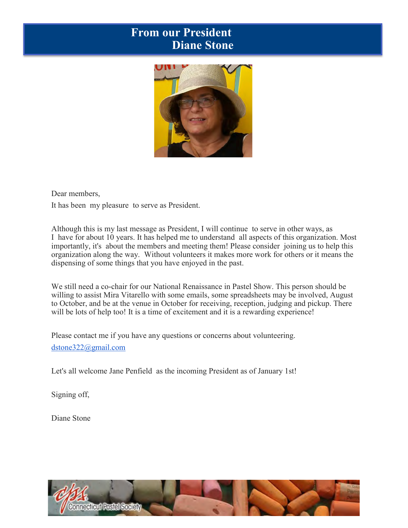### **Upcoming CPS Workshops for 2020 From our President Diane Stone**



Dear members,

It has been my pleasure to serve as President.

Although this is my last message as President, I will continue to serve in other ways, as I have for about 10 years. It has helped me to understand all aspects of this organization. Most importantly, it's about the members and meeting them! Please consider joining us to help this organization along the way. Without volunteers it makes more work for others or it means the dispensing of some things that you have enjoyed in the past.

We still need a co-chair for our National Renaissance in Pastel Show. This person should be willing to assist Mira Vitarello with some emails, some spreadsheets may be involved, August to October, and be at the venue in October for receiving, reception, judging and pickup. There will be lots of help too! It is a time of excitement and it is a rewarding experience!

Please contact me if you have any questions or concerns about volunteering. [dstone322@gmail.com](mailto:dstone322@gmail.com)

Let's all welcome Jane Penfield as the incoming President as of January 1st!

Signing off,

Diane Stone

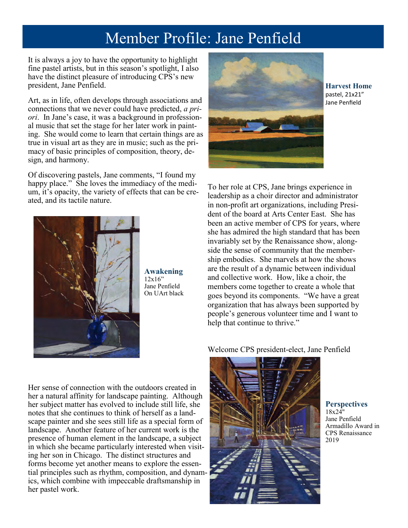# Member Profile: Jane Penfield

It is always a joy to have the opportunity to highlight fine pastel artists, but in this season's spotlight, I also have the distinct pleasure of introducing CPS's new president, Jane Penfield.

Art, as in life, often develops through associations and connections that we never could have predicted, *a priori*. In Jane's case, it was a background in professional music that set the stage for her later work in painting. She would come to learn that certain things are as true in visual art as they are in music; such as the primacy of basic principles of composition, theory, design, and harmony.

Of discovering pastels, Jane comments, "I found my happy place." She loves the immediacy of the medium, it's opacity, the variety of effects that can be created, and its tactile nature.



**Awakening**  $12x16"$ Jane Penfield On UArt black



**Harvest Home** pastel, 21x21" Jane Penfield

To her role at CPS, Jane brings experience in leadership as a choir director and administrator in non-profit art organizations, including President of the board at Arts Center East. She has been an active member of CPS for years, where she has admired the high standard that has been invariably set by the Renaissance show, alongside the sense of community that the membership embodies. She marvels at how the shows are the result of a dynamic between individual and collective work. How, like a choir, the members come together to create a whole that goes beyond its components. "We have a great organization that has always been supported by people's generous volunteer time and I want to help that continue to thrive."

Welcome CPS president-elect, Jane Penfield

Her sense of connection with the outdoors created in her a natural affinity for landscape painting. Although her subject matter has evolved to include still life, she notes that she continues to think of herself as a landscape painter and she sees still life as a special form of landscape. Another feature of her current work is the presence of human element in the landscape, a subject in which she became particularly interested when visiting her son in Chicago. The distinct structures and forms become yet another means to explore the essential principles such as rhythm, composition, and dynamics, which combine with impeccable draftsmanship in her pastel work.



**Perspectives** 18x24" Jane Penfield Armadillo Award in CPS Renaissance 2019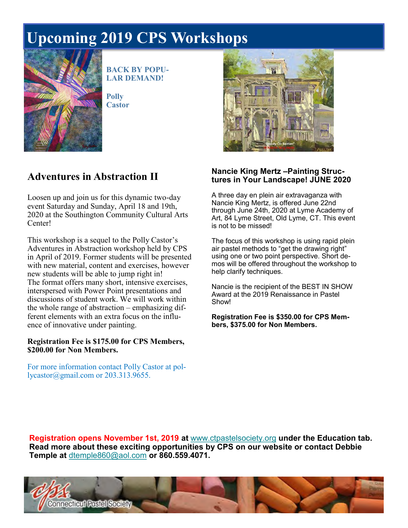# **Upcoming CPS Workshops for 2020 Upcoming 2019 CPS Workshops**



**BACK BY POPU-LAR DEMAND!**

**Polly Castor** 

## **Adventures in Abstraction II**

Loosen up and join us for this dynamic two-day event Saturday and Sunday, April 18 and 19th, 2020 at the Southington Community Cultural Arts Center!

This workshop is a sequel to the Polly Castor's Adventures in Abstraction workshop held by CPS in April of 2019. Former students will be presented with new material, content and exercises, however new students will be able to jump right in! The format offers many short, intensive exercises, interspersed with Power Point presentations and discussions of student work. We will work within the whole range of abstraction – emphasizing different elements with an extra focus on the influence of innovative under painting.

#### **Registration Fee is \$175.00 for CPS Members, \$200.00 for Non Members.**

For more information contact Polly Castor at pollycastor@gmail.com or 203.313.9655.



#### **Nancie King Mertz –Painting Structures in Your Landscape! JUNE 2020**

A three day en plein air extravaganza with Nancie King Mertz, is offered June 22nd through June 24th, 2020 at Lyme Academy of Art, 84 Lyme Street, Old Lyme, CT. This event is not to be missed!

The focus of this workshop is using rapid plein air pastel methods to "get the drawing right" using one or two point perspective. Short demos will be offered throughout the workshop to help clarify techniques.

Nancie is the recipient of the BEST IN SHOW Award at the 2019 Renaissance in Pastel Show!

**Registration Fee is \$350.00 for CPS Members, \$375.00 for Non Members.**

**Registration opens November 1st, 2019 at** [www.ctpastelsociety.org](https://ctpastelsociety.us10.list-manage.com/track/click?u=c014c5d8ad931f765e2b6e60e&id=03a598bee3&e=7528f65a11) **under the Education tab. Read more about these exciting opportunities by CPS on our website or contact Debbie Temple at** [dtemple860@aol.com](mailto:dtemple860@aol.com) **or 860.559.4071.**

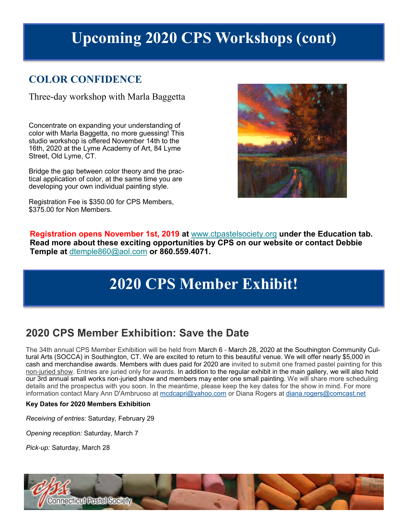# **Upcoming 2020 CPS Workshops (cont)**

#### **COLOR CONFIDENCE**

Three-day workshop with Marla Baggetta

Concentrate on expanding your understanding of color with Marla Baggetta, no more guessing! This studio workshop is offered November 14th to the 16th, 2020 at the Lyme Academy of Art, 84 Lyme Street, Old Lyme, CT.

Bridge the gap between color theory and the practical application of color, at the same time you are developing your own individual painting style.

Registration Fee is \$350.00 for CPS Members, \$375.00 for Non Members.



**Registration opens November 1st, 2019 at** [www.ctpastelsociety.org](https://ctpastelsociety.us10.list-manage.com/track/click?u=c014c5d8ad931f765e2b6e60e&id=03a598bee3&e=7528f65a11) **under the Education tab. Read more about these exciting opportunities by CPS on our website or contact Debbie Temple at** [dtemple860@aol.com](mailto:dtemple860@aol.com) **or 860.559.4071.**

# **2020 CPS Member Exhibit!**

## **2020 CPS Member Exhibition: Save the Date**

The 34th annual CPS Member Exhibition will be held from March 6 - March 28, 2020 at the Southington Community Cultural Arts (SOCCA) in Southington, CT. We are excited to return to this beautiful venue. We will offer nearly \$5,000 in cash and merchandise awards. Members with dues paid for 2020 are invited to submit one framed pastel painting for this non-juried show. Entries are juried only for awards. In addition to the regular exhibit in the main gallery, we will also hold our 3rd annual small works non-juried show and members may enter one small painting. We will share more scheduling details and the prospectus with you soon. In the meantime, please keep the key dates for the show in mind. For more information contact Mary Ann D'Ambruoso at [mcdcapri@yahoo.com](mailto:mcdcapri@yahoo.com) or Diana Rogers at [diana.rogers@comcast.net](mailto:diana.rogers@comcast.net)

#### **Key Dates for 2020 Members Exhibition**

*Receiving of entries:* Saturday, February 29

*Opening reception:* Saturday, March 7

*Pick-up:* Saturday, March 28

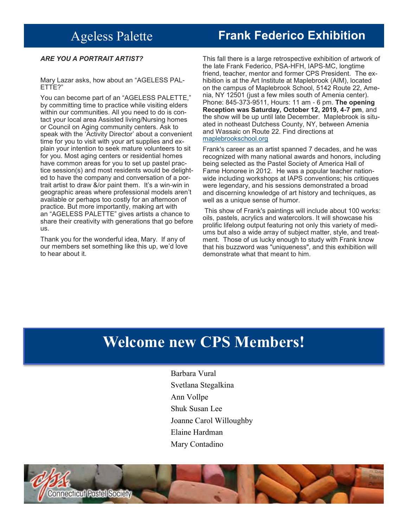## Ageless Palette

## **Upcoming CPS Workshops for 2020 Frank Federico Exhibition**

#### *ARE YOU A PORTRAIT ARTIST?*

Mary Lazar asks, how about an "AGELESS PAL-ETTE?"

You can become part of an "AGELESS PALETTE," by committing time to practice while visiting elders within our communities. All you need to do is contact your local area Assisted living/Nursing homes or Council on Aging community centers. Ask to speak with the 'Activity Director' about a convenient time for you to visit with your art supplies and explain your intention to seek mature volunteers to sit for you. Most aging centers or residential homes have common areas for you to set up pastel practice session(s) and most residents would be delighted to have the company and conversation of a portrait artist to draw &/or paint them. It's a win-win in geographic areas where professional models aren't available or perhaps too costly for an afternoon of practice. But more importantly, making art with an "AGELESS PALETTE" gives artists a chance to share their creativity with generations that go before us.

Thank you for the wonderful idea, Mary. If any of our members set something like this up, we'd love to hear about it.

This fall there is a large retrospective exhibition of artwork of the late Frank Federico, PSA-HFH, IAPS-MC, longtime friend, teacher, mentor and former CPS President. The exhibition is at the Art Institute at Maplebrook (AIM), located on the campus of Maplebrook School, 5142 Route 22, Amenia, NY 12501 (just a few miles south of Amenia center). Phone: 845-373-9511, Hours: 11 am - 6 pm. **The opening Reception was Saturday, October 12, 2019, 4-7 pm**, and the show will be up until late December. Maplebrook is situated in notheast Dutchess County, NY, between Amenia and Wassaic on Route 22. Find directions at <maplebrookschool.org>

Frank's career as an artist spanned 7 decades, and he was recognized with many national awards and honors, including being selected as the Pastel Society of America Hall of Fame Honoree in 2012. He was a popular teacher nationwide including workshops at IAPS conventions; his critiques were legendary, and his sessions demonstrated a broad and discerning knowledge of art history and techniques, as well as a unique sense of humor.

This show of Frank's paintings will include about 100 works: oils, pastels, acrylics and watercolors. It will showcase his prolific lifelong output featuring not only this variety of mediums but also a wide array of subject matter, style, and treatment. Those of us lucky enough to study with Frank know that his buzzword was "uniqueness", and this exhibition will demonstrate what that meant to him.

# **Welcome new CPS Members!**

Barbara Vural Svetlana Stegalkina Ann Vollpe Shuk Susan Lee Joanne Carol Willoughby Elaine Hardman Mary Contadino

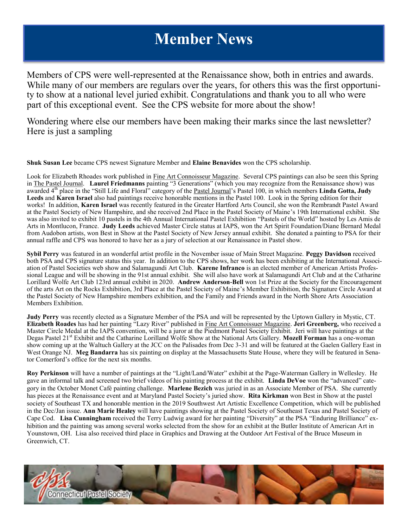# **Member News**

Members of CPS were well-represented at the Renaissance show, both in entries and awards. While many of our members are regulars over the years, for others this was the first opportunity to show at a national level juried exhibit. Congratulations and thank you to all who were part of this exceptional event. See the CPS website for more about the show!

Wondering where else our members have been making their marks since the last newsletter? Here is just a sampling

**Shuk Susan Lee** became CPS newest Signature Member and **Elaine Benavides** won the CPS scholarship.

Look for Elizabeth Rhoades work published in Fine Art Connoisseur Magazine. Several CPS paintings can also be seen this Spring in The Pastel Journal. **Laurel Friedmanns** painting "3 Generations" (which you may recognize from the Renaissance show) was awarded 4<sup>th</sup> place in the "Still Life and Floral" category of the Pastel Journal's Pastel 100, in which members Linda Gotta, Judy **Leeds** and **Karen Israel** also had paintings receive honorable mentions in the Pastel 100. Look in the Spring edition for their works! In addition, **Karen Israel** was recently featured in the Greater Hartford Arts Council, she won the Rembrandt Pastel Award at the Pastel Society of New Hampshire, and she received 2nd Place in the Pastel Society of Maine's 19th International exhibit. She was also invited to exhibit 10 pastels in the 4th Annual International Pastel Exhibition "Pastels of the World" hosted by Les Amis de Arts in Montlucon, France. **Judy Leeds** achieved Master Circle status at IAPS, won the Art Spirit Foundation/Diane Bernard Medal from Audobon artists, won Best in Show at the Pastel Society of New Jersey annual exhibit. She donated a painting to PSA for their annual raffle and CPS was honored to have her as a jury of selection at our Renaissance in Pastel show.

**Sybil Perry** was featured in an wonderful artist profile in the November issue of Main Street Magazine. **Peggy Davidson** received both PSA and CPS signature status this year. In addition to the CPS shows, her work has been exhibiting at the International Association of Pastel Societies web show and Salamagundi Art Club. **Karene Infranco** is an elected member of American Artists Professional League and will be showing in the 91st annual exhibit. She will also have work at Salamagundi Art Club and at the Catharine Lorillard Wolfe Art Club 123rd annual exhibit in 2020. **Andrew Anderson-Bell** won 1st Prize at the Society for the Encouragement of the arts Art on the Rocks Exhibition, 3rd Place at the Pastel Society of Maine's Member Exhibition, the Signature Circle Award at the Pastel Society of New Hampshire members exhibition, and the Family and Friends award in the North Shore Arts Association Members Exhibition.

**Judy Perry** was recently elected as a Signature Member of the PSA and will be represented by the Uptown Gallery in Mystic, CT. **Elizabeth Roades** has had her painting "Lazy River" published in Fine Art Connoissuer Magazine. **Jeri Greenberg,** who received a Master Circle Medal at the IAPS convention, will be a juror at the Piedmont Pastel Society Exhibit. Jeri will have paintings at the Degas Pastel 21<sup>st</sup> Exhibit and the Catharine Lorilland Wolfe Show at the National Arts Gallery. Mozell Forman has a one-woman show coming up at the Waltuch Gallery at the JCC on the Palisades from Dec 3-31 and will be featured at the Gaelen Gallery East in West Orange NJ. **Meg Bandarra** has six painting on display at the Massachusetts State House, where they will be featured in Senator Comerford's office for the next six months.

**Roy Perkinson** will have a number of paintings at the "Light/Land/Water" exhibit at the Page-Waterman Gallery in Wellesley. He gave an informal talk and screened two brief videos of his painting process at the exhibit. **Linda DeVoe** won the "advanced" category in the October Monet Café painting challenge. **Marlene Bezich** was juried in as an Associate Member of PSA. She currently has pieces at the Renaissance event and at Maryland Pastel Society's juried show. **Rita Kirkman** won Best in Show at the pastel society of Southeast TX and honorable mention in the 2019 Southwest Art Artistic Excellence Competition, which will be published in the Dec/Jan issue. **Ann Marie Healey** will have paintings showing at the Pastel Society of Southeast Texas and Pastel Society of Cape Cod. **Lisa Cunningham** received the Terry Ludwig award for her painting "Diversity" at the PSA "Enduring Brilliance" exhibition and the painting was among several works selected from the show for an exhibit at the Butler Institute of American Art in Younstown, OH. Lisa also received third place in Graphics and Drawing at the Outdoor Art Festival of the Bruce Museum in Greenwich, CT.